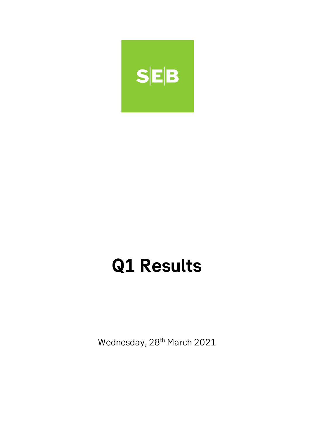

# **Q1 Results**

Wednesday, 28<sup>th</sup> March 2021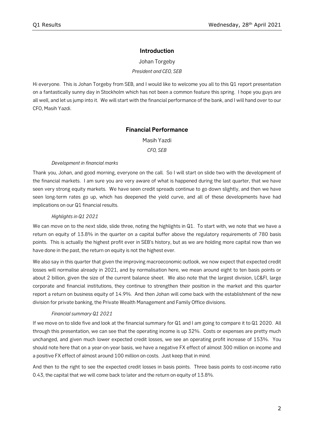# **Introduction**

Johan Torgeby *President and CEO, SEB*

Hi everyone. This is Johan Torgeby from SEB, and I would like to welcome you all to this Q1 report presentation on a fantastically sunny day in Stockholm which has not been a common feature this spring. I hope you guys are all well, and let us jump into it. We will start with the financial performance of the bank, and I will hand over to our CFO, Masih Yazdi.

# **Financial Performance**

Masih Yazdi

*CFO, SEB*

#### *Development in financial marks*

Thank you, Johan, and good morning, everyone on the call. So I will start on slide two with the development of the financial markets. I am sure you are very aware of what is happened during the last quarter, that we have seen very strong equity markets. We have seen credit spreads continue to go down slightly, and then we have seen long-term rates go up, which has deepened the yield curve, and all of these developments have had implications on our Q1 financial results.

## *Highlights in Q1 2021*

We can move on to the next slide, slide three, noting the highlights in Q1. To start with, we note that we have a return on equity of 13.8% in the quarter on a capital buffer above the regulatory requirements of 780 basis points. This is actually the highest profit ever in SEB's history, but as we are holding more capital now than we have done in the past, the return on equity is not the highest ever.

We also say in this quarter that given the improving macroeconomic outlook, we now expect that expected credit losses will normalise already in 2021, and by normalisation here, we mean around eight to ten basis points or about 2 billion, given the size of the current balance sheet. We also note that the largest division, LC&FI, large corporate and financial institutions, they continue to strengthen their position in the market and this quarter report a return on business equity of 14.9%. And then Johan will come back with the establishment of the new division for private banking, the Private Wealth Management and Family Office divisions.

#### *Financial summary Q1 2021*

If we move on to slide five and look at the financial summary for Q1 and I am going to compare it to Q1 2020. All through this presentation, we can see that the operating income is up 32%. Costs or expenses are pretty much unchanged, and given much lower expected credit losses, we see an operating profit increase of 153%. You should note here that on a year-on-year basis, we have a negative FX effect of almost 300 million on income and a positive FX effect of almost around 100 million on costs. Just keep that in mind.

And then to the right to see the expected credit losses in basis points. Three basis points to cost-income ratio 0.43, the capital that we will come back to later and the return on equity of 13.8%.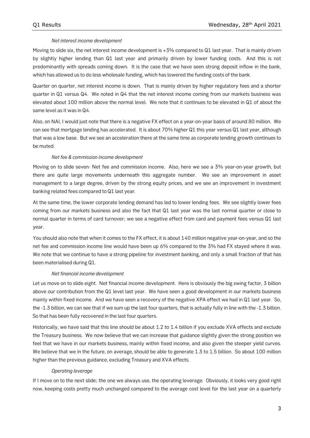## *Net interest income development*

Moving to slide six, the net interest income development is +3% compared to Q1 last year. That is mainly driven by slightly higher lending than Q1 last year and primarily driven by lower funding costs. And this is not predominantly with spreads coming down. It is the case that we have seen strong deposit inflow in the bank, which has allowed us to do less wholesale funding, which has lowered the funding costs of the bank.

Quarter on quarter, net interest income is down. That is mainly driven by higher regulatory fees and a shorter quarter in Q1 versus Q4. We noted in Q4 that the net interest income coming from our markets business was elevated about 100 million above the normal level. We note that it continues to be elevated in Q1 of about the same level as it was in Q4.

Also, on NAI, I would just note that there is a negative FX effect on a year-on-year basis of around 80 million. We can see that mortgage lending has accelerated. It is about 70% higher Q1 this year versus Q1 last year, although that was a low base. But we see an acceleration there at the same time as corporate lending growth continues to be muted.

#### *Net fee & commission income development*

Moving on to slide seven: Net fee and commission income. Also, here we see a 3% year-on-year growth, but there are quite large movements underneath this aggregate number. We see an improvement in asset management to a large degree, driven by the strong equity prices, and we see an improvement in investment banking related fees compared to Q1 last year.

At the same time, the lower corporate lending demand has led to lower lending fees. We see slightly lower fees coming from our markets business and also the fact that Q1 last year was the last normal quarter or close to normal quarter in terms of card turnover; we see a negative effect from card and payment fees versus Q1 last year.

You should also note that when it comes to the FX effect, it is about 140 million negative year-on-year, and so the net fee and commission income line would have been up 6% compared to the 3% had FX stayed where it was. We note that we continue to have a strong pipeline for investment banking, and only a small fraction of that has been materialised during Q1.

#### *Net financial income development*

Let us move on to slide eight. Net financial income development. Here is obviously the big swing factor, 3 billion above our contribution from the Q1 level last year. We have seen a good development in our markets business mainly within fixed income. And we have seen a recovery of the negative XPA effect we had in Q1 last year. So, the -1.3 billion, we can see that if we sum up the last four quarters, that is actually fully in line with the -1.3 billion. So that has been fully recovered in the last four quarters.

Historically, we have said that this line should be about 1.2 to 1.4 billion if you exclude XVA effects and exclude the Treasury business. We now believe that we can increase that guidance slightly given the strong position we feel that we have in our markets business, mainly within fixed income, and also given the steeper yield curves. We believe that we in the future, on average, should be able to generate 1.3 to 1.5 billion. So about 100 million higher than the previous guidance, excluding Treasury and XVA effects.

#### *Operating leverage*

If I move on to the next slide; the one we always use, the operating leverage. Obviously, it looks very good right now, keeping costs pretty much unchanged compared to the average cost level for the last year on a quarterly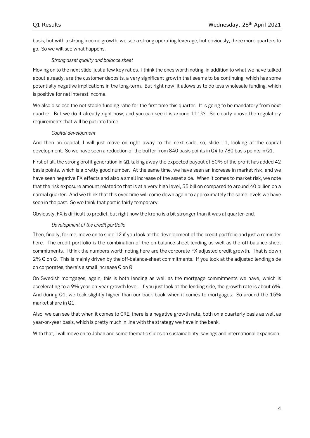basis, but with a strong income growth, we see a strong operating leverage, but obviously, three more quarters to go. So we will see what happens.

# *Strong asset quality and balance sheet*

Moving on to the next slide, just a few key ratios. I think the ones worth noting, in addition to what we have talked about already, are the customer deposits, a very significant growth that seems to be continuing, which has some potentially negative implications in the long-term. But right now, it allows us to do less wholesale funding, which is positive for net interest income.

We also disclose the net stable funding ratio for the first time this quarter. It is going to be mandatory from next quarter. But we do it already right now, and you can see it is around 111%. So clearly above the regulatory requirements that will be put into force.

# *Capital development*

And then on capital, I will just move on right away to the next slide, so, slide 11, looking at the capital development. So we have seen a reduction of the buffer from 840 basis points in Q4 to 780 basis points in Q1.

First of all, the strong profit generation in Q1 taking away the expected payout of 50% of the profit has added 42 basis points, which is a pretty good number. At the same time, we have seen an increase in market risk, and we have seen negative FX effects and also a small increase of the asset side. When it comes to market risk, we note that the risk exposure amount related to that is at a very high level, 55 billion compared to around 40 billion on a normal quarter. And we think that this over time will come down again to approximately the same levels we have seen in the past. So we think that part is fairly temporary.

Obviously, FX is difficult to predict, but right now the krona is a bit stronger than it was at quarter-end.

# *Development of the credit portfolio*

Then, finally, for me, move on to slide 12 if you look at the development of the credit portfolio and just a reminder here. The credit portfolio is the combination of the on-balance-sheet lending as well as the off-balance-sheet commitments. I think the numbers worth noting here are the corporate FX adjusted credit growth. That is down 2% Q on Q. This is mainly driven by the off-balance-sheet commitments. If you look at the adjusted lending side on corporates, there's a small increase Q on Q.

On Swedish mortgages, again, this is both lending as well as the mortgage commitments we have, which is accelerating to a 9% year-on-year growth level. If you just look at the lending side, the growth rate is about 6%. And during Q1, we took slightly higher than our back book when it comes to mortgages. So around the 15% market share in Q1.

Also, we can see that when it comes to CRE, there is a negative growth rate, both on a quarterly basis as well as year-on-year basis, which is pretty much in line with the strategy we have in the bank.

With that, I will move on to Johan and some thematic slides on sustainability, savings and international expansion.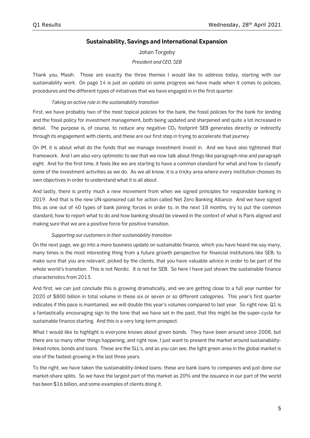# **Sustainability, Savings and International Expansion**

# Johan Torgeby *President and CEO, SEB*

Thank you, Masih. Those are exactly the three themes I would like to address today, starting with our sustainability work. On page 14 is just an update on some progress we have made when it comes to policies, procedures and the different types of initiatives that we have engaged in in the first quarter.

# *Taking an active role in the sustainability transition*

First, we have probably two of the most topical policies for the bank, the fossil policies for the bank for lending and the fossil policy for investment management, both being updated and sharpened and quite a lot increased in detail. The purpose is, of course, to reduce any negative  $CO<sub>2</sub>$  footprint SEB generates directly or indirectly through its engagement with clients, and these are our first step in trying to accelerate that journey.

On IM, it is about what do the funds that we manage investment invest in. And we have also tightened that framework. And I am also very optimistic to see that we now talk about things like paragraph nine and paragraph eight. And for the first time, it feels like we are starting to have a common standard for what and how to classify some of the investment activities as we do. As we all know, it is a tricky area where every institution chooses its own objectives in order to understand what it is all about.

And lastly, there is pretty much a new movement from when we signed principles for responsible banking in 2019. And that is the new UN-sponsored call for action called Net Zero Banking Alliance. And we have signed this as one out of 40 types of bank joining forces in order to, in the next 18 months, try to put the common standard, how to report what to do and how banking should be viewed in the context of what is Paris aligned and making sure that we are a positive force for positive transition.

# *Supporting our customers in their sustainability transition*

On the next page, we go into a more business update on sustainable finance, which you have heard me say many, many times is the most interesting thing from a future growth perspective for financial institutions like SEB; to make sure that you are relevant, picked by the clients, that you have valuable advice in order to be part of the whole world's transition. This is not Nordic. It is not for SEB. So here I have just shown the sustainable finance characteristics from 2013.

And first, we can just conclude this is growing dramatically, and we are getting close to a full year number for 2020 of \$800 billion in total volume in these six or seven or so different categories. This year's first quarter indicates if this pace is maintained, we will double this year's volumes compared to last year. So right now, Q1 is a fantastically encouraging sign to the tone that we have set in the past, that this might be the super-cycle for sustainable finance starting. And this is a very long-term prospect.

What I would like to highlight is everyone knows about green bonds. They have been around since 2008, but there are so many other things happening, and right now, I just want to present the market around sustainabilitylinked notes, bonds and loans. These are the SLL's, and as you can see, the light green area in the global market is one of the fastest-growing in the last three years.

To the right, we have taken the sustainability-linked loans; these are bank loans to companies and just done our market-share splits. So we have the largest part of this market as 20% and the issuance in our part of the world has been \$16 billion, and some examples of clients doing it.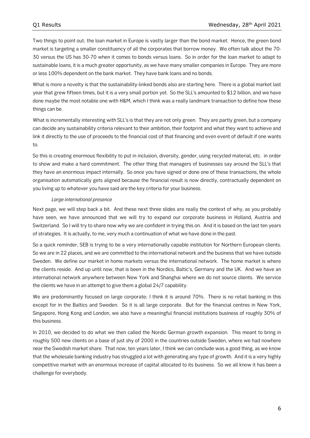Two things to point out; the loan market in Europe is vastly larger than the bond market. Hence, the green bond market is targeting a smaller constituency of all the corporates that borrow money. We often talk about the 70- 30 versus the US has 30-70 when it comes to bonds versus loans. So in order for the loan market to adapt to sustainable loans, it is a much greater opportunity, as we have many smaller companies in Europe. They are more or less 100% dependent on the bank market. They have bank loans and no bonds.

What is more a novelty is that the sustainability-linked bonds also are starting here. There is a global market last year that grew fifteen times, but it is a very small portion yet. So the SLL's amounted to \$12 billion, and we have done maybe the most notable one with H&M, which I think was a really landmark transaction to define how these things can be.

What is incrementally interesting with SLL's is that they are not only green. They are partly green, but a company can decide any sustainability criteria relevant to their ambition, their footprint and what they want to achieve and link it directly to the use of proceeds to the financial cost of that financing and even event of default if one wants to.

So this is creating enormous flexibility to put in inclusion, diversity, gender, using recycled material, etc. in order to show and make a hard commitment. The other thing that managers of businesses say around the SLL's that they have an enormous impact internally. So once you have signed or done one of these transactions, the whole organisation automatically gets aligned because the financial result is now directly, contractually dependent on you living up to whatever you have said are the key criteria for your business.

#### *Large international presence*

Next page, we will step back a bit. And these next three slides are really the context of why, as you probably have seen, we have announced that we will try to expand our corporate business in Holland, Austria and Switzerland. So I will try to share now why we are confident in trying this on. And it is based on the last ten years of strategies. It is actually, to me, very much a continuation of what we have done in the past.

So a quick reminder, SEB is trying to be a very internationally capable institution for Northern European clients. So we are in 22 places, and we are committed to the international network and the business that we have outside Sweden. We define our market in home markets versus the international network. The home market is where the clients reside. And up until now, that is been in the Nordics, Baltic's, Germany and the UK. And we have an international network anywhere between New York and Shanghai where we do not source clients. We service the clients we have in an attempt to give them a global 24/7 capability.

We are predominantly focused on large corporate; I think it is around 70%. There is no retail banking in this except for in the Baltics and Sweden. So it is all large corporate. But for the financial centres in New York, Singapore, Hong Kong and London, we also have a meaningful financial institutions business of roughly 30% of this business.

In 2010, we decided to do what we then called the Nordic German growth expansion. This meant to bring in roughly 500 new clients on a base of just shy of 2000 in the countries outside Sweden, where we had nowhere near the Swedish market share. That now, ten years later, I think we can conclude was a good thing, as we know that the wholesale banking industry has struggled a lot with generating any type of growth. And it is a very highly competitive market with an enormous increase of capital allocated to its business. So we all know it has been a challenge for everybody.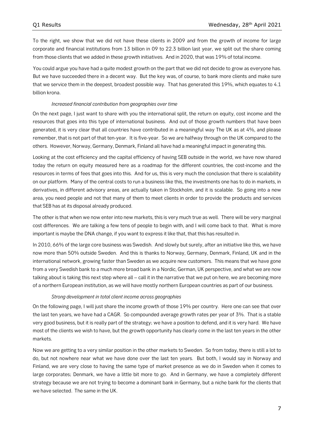To the right, we show that we did not have these clients in 2009 and from the growth of income for large corporate and financial institutions from 13 billion in 09 to 22.3 billion last year, we split out the share coming from those clients that we added in these growth initiatives. And in 2020, that was 19% of total income.

You could argue you have had a quite modest growth on the part that we did not decide to grow as everyone has. But we have succeeded there in a decent way. But the key was, of course, to bank more clients and make sure that we service them in the deepest, broadest possible way. That has generated this 19%, which equates to 4.1 billion krona.

#### *Increased financial contribution from geographies over time*

On the next page, I just want to share with you the international split, the return on equity, cost income and the resources that goes into this type of international business. And out of those growth numbers that have been generated, it is very clear that all countries have contributed in a meaningful way The UK as at 4%, and please remember, that is not part of that ten-year. It is five-year. So we are halfway through on the UK compared to the others. However, Norway, Germany, Denmark, Finland all have had a meaningful impact in generating this.

Looking at the cost efficiency and the capital efficiency of having SEB outside in the world, we have now shared today the return on equity measured here as a roadmap for the different countries, the cost-income and the resources in terms of fees that goes into this. And for us, this is very much the conclusion that there is scalability on our platform. Many of the central costs to run a business like this, the investments one has to do in markets, in derivatives, in different advisory areas, are actually taken in Stockholm, and it is scalable. So going into a new area, you need people and not that many of them to meet clients in order to provide the products and services that SEB has at its disposal already produced.

The other is that when we now enter into new markets, this is very much true as well. There will be very marginal cost differences. We are talking a few tens of people to begin with, and I will come back to that. What is more important is maybe the DNA change, if you want to express it like that, that this has resulted in.

In 2010, 66% of the large core business was Swedish. And slowly but surely, after an initiative like this, we have now more than 50% outside Sweden. And this is thanks to Norway, Germany, Denmark, Finland, UK and in the international network, growing faster than Sweden as we acquire new customers. This means that we have gone from a very Swedish bank to a much more broad bank in a Nordic, German, UK perspective, and what we are now talking about is taking this next step where all – call it in the narrative that we put on here, we are becoming more of a northern European institution, as we will have mostly northern European countries as part of our business.

#### *Strong development in total client income across geographies*

On the following page, I will just share the income growth of those 19% per country. Here one can see that over the last ten years, we have had a CAGR. So compounded average growth rates per year of 3%. That is a stable very good business, but it is really part of the strategy; we have a position to defend, and it is very hard. We have most of the clients we wish to have, but the growth opportunity has clearly come in the last ten years in the other markets.

Now we are getting to a very similar position in the other markets to Sweden. So from today, there is still a lot to do, but not nowhere near what we have done over the last ten years. But both, I would say in Norway and Finland, we are very close to having the same type of market presence as we do in Sweden when it comes to large corporates; Denmark, we have a little bit more to go. And in Germany, we have a completely different strategy because we are not trying to become a dominant bank in Germany, but a niche bank for the clients that we have selected. The same in the UK.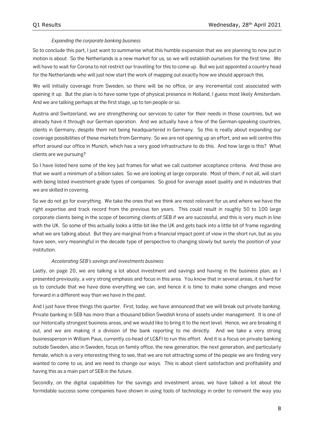# *Expanding the corporate banking business*

So to conclude this part, I just want to summarise what this humble expansion that we are planning to now put in motion is about. So the Netherlands is a new market for us, so we will establish ourselves for the first time. We will have to wait for Corona to not restrict our travelling for this to come up. But we just appointed a country head for the Netherlands who will just now start the work of mapping out exactly how we should approach this.

We will initially coverage from Sweden, so there will be no office, or any incremental cost associated with opening it up. But the plan is to have some type of physical presence in Holland, I guess most likely Amsterdam. And we are talking perhaps at the first stage, up to ten people or so.

Austria and Switzerland, we are strengthening our services to cater for their needs in those countries, but we already have it through our German operation. And we actually have a few of the German-speaking countries, clients in Germany, despite them not being headquartered in Germany. So this is really about expanding our coverage possibilities of these markets from Germany. So we are not opening up an effort, and we will centre this effort around our office in Munich, which has a very good infrastructure to do this. And how large is this? What clients are we pursuing?

So I have listed here some of the key just frames for what we call customer acceptance criteria. And those are that we want a minimum of a billion sales. So we are looking at large corporate. Most of them, if not all, will start with being listed investment-grade types of companies. So good for average asset quality and in industries that we are skilled in covering.

So we do not go for everything. We take the ones that we think are most relevant for us and where we have the right expertise and track record from the previous ten years. This could result in roughly 50 to 100 large corporate clients being in the scope of becoming clients of SEB if we are successful, and this is very much in line with the UK. So some of this actually looks a little bit like the UK and gets back into a little bit of frame regarding what we are talking about. But they are marginal from a financial impact point of view in the short run, but as you have seen, very meaningful in the decade type of perspective to changing slowly but surely the position of your institution.

#### *Accelerating SEB's savings and investments business*

Lastly, on page 20, we are talking a lot about investment and savings and having in the business plan, as I presented previously, a very strong emphasis and focus in this area. You know that in several areas, it is hard for us to conclude that we have done everything we can, and hence it is time to make some changes and move forward in a different way than we have in the past.

And I just have three things this quarter. First, today, we have announced that we will break out private banking. Private banking in SEB has more than a thousand billion Swedish krona of assets under management. It is one of our historically strongest business areas, and we would like to bring it to the next level. Hence, we are breaking it out, and we are making it a division of the bank reporting to me directly. And we take a very strong businessperson in William Paus, currently co-head of LC&FI to run this effort. And it is a focus on private banking outside Sweden, also in Sweden, focus on family office, the new generation, the next generation, and particularly female, which is a very interesting thing to see, that we are not attracting some of the people we are finding very wanted to come to us, and we need to change our ways. This is about client satisfaction and profitability and having this as a main part of SEB in the future.

Secondly, on the digital capabilities for the savings and investment areas, we have talked a lot about the formidable success some companies have shown in using tools of technology in order to reinvent the way you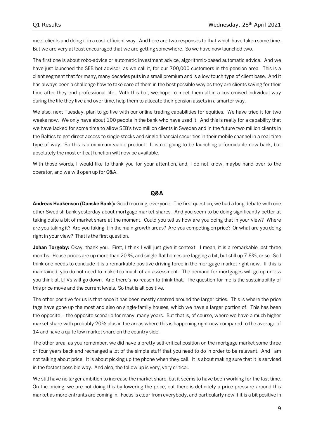meet clients and doing it in a cost-efficient way. And here are two responses to that which have taken some time. But we are very at least encouraged that we are getting somewhere. So we have now launched two.

The first one is about robo-advice or automatic investment advice, algorithmic-based automatic advice. And we have just launched the SEB bot advisor, as we call it, for our 700,000 customers in the pension area. This is a client segment that for many, many decades puts in a small premium and is a low touch type of client base. And it has always been a challenge how to take care of them in the best possible way as they are clients saving for their time after they end professional life. With this bot, we hope to meet them all in a customised individual way during the life they live and over time, help them to allocate their pension assets in a smarter way.

We also, next Tuesday, plan to go live with our online trading capabilities for equities. We have tried it for two weeks now. We only have about 100 people in the bank who have used it. And this is really for a capability that we have lacked for some time to allow SEB's two million clients in Sweden and in the future two million clients in the Baltics to get direct access to single stocks and single financial securities in their mobile channel in a real-time type of way. So this is a minimum viable product. It is not going to be launching a formidable new bank, but absolutely the most critical function will now be available.

With those words, I would like to thank you for your attention, and, I do not know, maybe hand over to the operator, and we will open up for Q&A.

# **Q&A**

**Andreas Haakenson (Danske Bank):** Good morning, everyone. The first question, we had a long debate with one other Swedish bank yesterday about mortgage market shares. And you seem to be doing significantly better at taking quite a bit of market share at the moment. Could you tell us how are you doing that in your view? Where are you taking it? Are you taking it in the main growth areas? Are you competing on price? Or what are you doing right in your view? That is the first question.

**Johan Torgeby:** Okay, thank you. First, I think I will just give it context. I mean, it is a remarkable last three months. House prices are up more than 20 %, and single flat homes are lagging a bit, but still up 7-8%, or so. So I think one needs to conclude it is a remarkable positive driving force in the mortgage market right now. If this is maintained, you do not need to make too much of an assessment. The demand for mortgages will go up unless you think all LTVs will go down. And there's no reason to think that. The question for me is the sustainability of this price move and the current levels. So that is all positive.

The other positive for us is that once it has been mostly centred around the larger cities. This is where the price tags have gone up the most and also on single-family houses, which we have a larger portion of. This has been the opposite – the opposite scenario for many, many years. But that is, of course, where we have a much higher market share with probably 20% plus in the areas where this is happening right now compared to the average of 14 and have a quite low market share on the country side.

The other area, as you remember, we did have a pretty self-critical position on the mortgage market some three or four years back and rechanged a lot of the simple stuff that you need to do in order to be relevant. And I am not talking about price. It is about picking up the phone when they call. It is about making sure that it is serviced in the fastest possible way. And also, the follow up is very, very critical.

We still have no larger ambition to increase the market share, but it seems to have been working for the last time. On the pricing, we are not doing this by lowering the price, but there is definitely a price pressure around this market as more entrants are coming in. Focus is clear from everybody, and particularly now if it is a bit positive in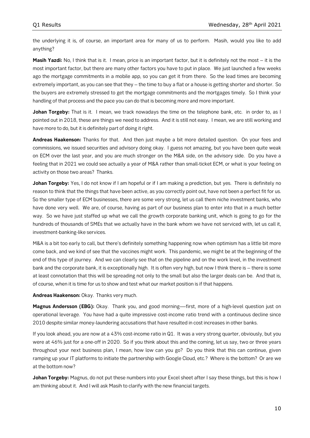the underlying it is, of course, an important area for many of us to perform. Masih, would you like to add anything?

**Masih Yazdi:** No, I think that is it. I mean, price is an important factor, but it is definitely not the most – it is the most important factor, but there are many other factors you have to put in place. We just launched a few weeks ago the mortgage commitments in a mobile app, so you can get it from there. So the lead times are becoming extremely important, as you can see that they – the time to buy a flat or a house is getting shorter and shorter. So the buyers are extremely stressed to get the mortgage commitments and the mortgages timely. So I think your handling of that process and the pace you can do that is becoming more and more important.

**Johan Torgeby:** That is it. I mean, we track nowadays the time on the telephone bank, etc. in order to, as I pointed out in 2018, these are things we need to address. And it is still not easy. I mean, we are still working and have more to do, but it is definitely part of doing it right.

**Andreas Haakenson:** Thanks for that. And then just maybe a bit more detailed question. On your fees and commissions, we issued securities and advisory doing okay. I guess not amazing, but you have been quite weak on ECM over the last year, and you are much stronger on the M&A side, on the advisory side. Do you have a feeling that in 2021 we could see actually a year of M&A rather than small-ticket ECM, or what is your feeling on activity on those two areas? Thanks.

**Johan Torgeby:** Yes, I do not know if I am hopeful or if I am making a prediction, but yes. There is definitely no reason to think that the things that have been active, as you correctly point out, have not been a perfect fit for us. So the smaller type of ECM businesses, there are some very strong, let us call them niche investment banks, who have done very well. We are, of course, having as part of our business plan to enter into that in a much better way. So we have just staffed up what we call the growth corporate banking unit, which is going to go for the hundreds of thousands of SMEs that we actually have in the bank whom we have not serviced with, let us call it, investment-banking-like services.

M&A is a bit too early to call, but there's definitely something happening now when optimism has a little bit more come back, and we kind of see that the vaccines might work. This pandemic, we might be at the beginning of the end of this type of journey. And we can clearly see that on the pipeline and on the work level, in the investment bank and the corporate bank, it is exceptionally high. It is often very high, but now I think there is – there is some at least connotation that this will be spreading not only to the small but also the larger deals can be. And that is, of course, when it is time for us to show and test what our market position is if that happens.

**Andreas Haakenson:** Okay. Thanks very much.

**Magnus Andersson (EBG):** Okay. Thank you, and good morning—first, more of a high-level question just on operational leverage. You have had a quite impressive cost-income ratio trend with a continuous decline since 2010 despite similar money-laundering accusations that have resulted in cost increases in other banks.

If you look ahead, you are now at a 43% cost-income ratio in Q1. It was a very strong quarter, obviously, but you were at 46% just for a one-off in 2020. So if you think about this and the coming, let us say, two or three years throughout your next business plan, I mean, how low can you go? Do you think that this can continue, given ramping up your IT platforms to initiate the partnership with Google Cloud, etc.? Where is the bottom? Or are we at the bottom now?

**Johan Torgeby:** Magnus, do not put these numbers into your Excel sheet after I say these things, but this is how I am thinking about it. And I will ask Masih to clarify with the new financial targets.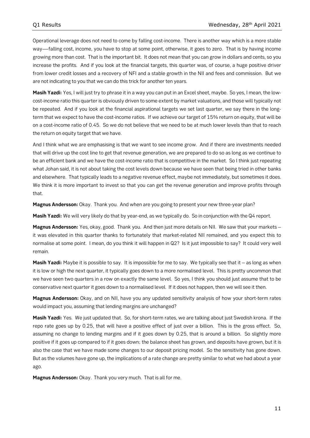Operational leverage does not need to come by falling cost-income. There is another way which is a more stable way—falling cost, income, you have to stop at some point, otherwise, it goes to zero. That is by having income growing more than cost. That is the important bit. It does not mean that you can grow in dollars and cents, so you increase the profits. And if you look at the financial targets, this quarter was, of course, a huge positive driver from lower credit losses and a recovery of NFI and a stable growth in the NII and fees and commission. But we are not indicating to you that we can do this trick for another ten years.

**Masih Yazdi:** Yes, I will just try to phrase it in a way you can put in an Excel sheet, maybe. So yes, I mean, the lowcost-income ratio this quarter is obviously driven to some extent by market valuations, and those will typically not be repeated. And if you look at the financial aspirational targets we set last quarter, we say there in the longterm that we expect to have the cost-income ratios. If we achieve our target of 15% return on equity, that will be on a cost-income ratio of 0.45. So we do not believe that we need to be at much lower levels than that to reach the return on equity target that we have.

And I think what we are emphasising is that we want to see income grow. And if there are investments needed that will drive up the cost line to get that revenue generation, we are prepared to do so as long as we continue to be an efficient bank and we have the cost-income ratio that is competitive in the market. So I think just repeating what Johan said, it is not about taking the cost levels down because we have seen that being tried in other banks and elsewhere. That typically leads to a negative revenue effect, maybe not immediately, but sometimes it does. We think it is more important to invest so that you can get the revenue generation and improve profits through that.

**Magnus Andersson:** Okay. Thank you. And when are you going to present your new three-year plan?

**Masih Yazdi:** We will very likely do that by year-end, as we typically do. So in conjunction with the Q4 report.

**Magnus Andersson:** Yes, okay, good. Thank you. And then just more details on NII. We saw that your markets – it was elevated in this quarter thanks to fortunately that market-related NII remained, and you expect this to normalise at some point. I mean, do you think it will happen in Q2? Is it just impossible to say? It could very well remain.

**Masih Yazdi:** Maybe it is possible to say. It is impossible for me to say. We typically see that it – as long as when it is low or high the next quarter, it typically goes down to a more normalised level. This is pretty uncommon that we have seen two quarters in a row on exactly the same level. So yes, I think you should just assume that to be conservative next quarter it goes down to a normalised level. If it does not happen, then we will see it then.

**Magnus Andersson:** Okay, and on NII, have you any updated sensitivity analysis of how your short-term rates would impact you, assuming that lending margins are unchanged?

**Masih Yazdi:** Yes. We just updated that. So, for short-term rates, we are talking about just Swedish krona. If the repo rate goes up by 0.25, that will have a positive effect of just over a billion. This is the gross effect. So, assuming no change to lending margins and if it goes down by 0.25, that is around a billion. So slightly more positive if it goes up compared to if it goes down; the balance sheet has grown, and deposits have grown, but it is also the case that we have made some changes to our deposit pricing model. So the sensitivity has gone down. But as the volumes have gone up, the implications of a rate change are pretty similar to what we had about a year ago.

**Magnus Andersson:** Okay. Thank you very much. That is all for me.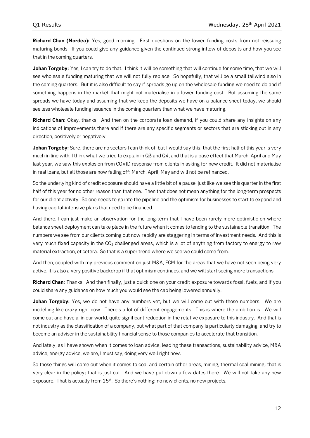**Richard Chan (Nordea):** Yes, good morning. First questions on the lower funding costs from not reissuing maturing bonds. If you could give any guidance given the continued strong inflow of deposits and how you see that in the coming quarters.

**Johan Torgeby:** Yes, I can try to do that. I think it will be something that will continue for some time, that we will see wholesale funding maturing that we will not fully replace. So hopefully, that will be a small tailwind also in the coming quarters. But it is also difficult to say if spreads go up on the wholesale funding we need to do and if something happens in the market that might not materialise in a lower funding cost. But assuming the same spreads we have today and assuming that we keep the deposits we have on a balance sheet today, we should see less wholesale funding issuance in the coming quarters than what we have maturing.

**Richard Chan:** Okay, thanks. And then on the corporate loan demand, if you could share any insights on any indications of improvements there and if there are any specific segments or sectors that are sticking out in any direction, positively or negatively.

**Johan Torgeby:** Sure, there are no sectors I can think of, but I would say this; that the first half of this year is very much in line with, I think what we tried to explain in Q3 and Q4, and that is a base effect that March, April and May last year, we saw this explosion from COVID response from clients in asking for new credit. It did not materialise in real loans, but all those are now falling off; March, April, May and will not be refinanced.

So the underlying kind of credit exposure should have a little bit of a pause, just like we see this quarter in the first half of this year for no other reason than that one. Then that does not mean anything for the long-term prospects for our client activity. So one needs to go into the pipeline and the optimism for businesses to start to expand and having capital-intensive plans that need to be financed.

And there, I can just make an observation for the long-term that I have been rarely more optimistic on where balance sheet deployment can take place in the future when it comes to lending to the sustainable transition. The numbers we see from our clients coming out now rapidly are staggering in terms of investment needs. And this is very much fixed capacity in the  $CO<sub>2</sub>$  challenged areas, which is a lot of anything from factory to energy to raw material extraction, et cetera. So that is a super trend where we see we could come from.

And then, coupled with my previous comment on just M&A, ECM for the areas that we have not seen being very active, it is also a very positive backdrop if that optimism continues, and we will start seeing more transactions.

**Richard Chan:** Thanks. And then finally, just a quick one on your credit exposure towards fossil fuels, and if you could share any guidance on how much you would see the cap being lowered annually.

**Johan Torgeby:** Yes, we do not have any numbers yet, but we will come out with those numbers. We are modelling like crazy right now. There's a lot of different engagements. This is where the ambition is. We will come out and have a, in our world, quite significant reduction in the relative exposure to this industry. And that is not industry as the classification of a company, but what part of that company is particularly damaging, and try to become an adviser in the sustainability financial sense to those companies to accelerate that transition.

And lately, as I have shown when it comes to loan advice, leading these transactions, sustainability advice, M&A advice, energy advice, we are, I must say, doing very well right now.

So those things will come out when it comes to coal and certain other areas, mining, thermal coal mining; that is very clear in the policy; that is just out. And we have put down a few dates there. We will not take any new exposure. That is actually from  $15<sup>th</sup>$ . So there's nothing; no new clients, no new projects.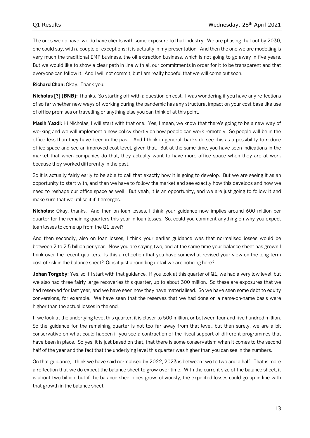The ones we do have, we do have clients with some exposure to that industry. We are phasing that out by 2030, one could say, with a couple of exceptions; it is actually in my presentation. And then the one we are modelling is very much the traditional EMP business, the oil extraction business, which is not going to go away in five years. But we would like to show a clear path in line with all our commitments in order for it to be transparent and that everyone can follow it. And I will not commit, but I am really hopeful that we will come out soon.

**Richard Chan:** Okay. Thank you.

**Nicholas [?] (BNB):** Thanks. So starting off with a question on cost. I was wondering if you have any reflections of so far whether new ways of working during the pandemic has any structural impact on your cost base like use of office premises or travelling or anything else you can think of at this point.

**Masih Yazdi:** Hi Nicholas, I will start with that one. Yes, I mean, we know that there's going to be a new way of working and we will implement a new policy shortly on how people can work remotely. So people will be in the office less than they have been in the past. And I think in general, banks do see this as a possibility to reduce office space and see an improved cost level, given that. But at the same time, you have seen indications in the market that when companies do that, they actually want to have more office space when they are at work because they worked differently in the past.

So it is actually fairly early to be able to call that exactly how it is going to develop. But we are seeing it as an opportunity to start with, and then we have to follow the market and see exactly how this develops and how we need to reshape our office space as well. But yeah, it is an opportunity, and we are just going to follow it and make sure that we utilise it if it emerges.

**Nicholas:** Okay, thanks. And then on loan losses, I think your guidance now implies around 600 million per quarter for the remaining quarters this year in loan losses. So, could you comment anything on why you expect loan losses to come up from the Q1 level?

And then secondly, also on loan losses, I think your earlier guidance was that normalised losses would be between 2 to 2.5 billion per year. Now you are saying two, and at the same time your balance sheet has grown I think over the recent quarters. Is this a reflection that you have somewhat revised your view on the long-term cost of risk in the balance sheet? Or is it just a rounding detail we are noticing here?

**Johan Torgeby:** Yes, so if I start with that guidance. If you look at this quarter of Q1, we had a very low level, but we also had three fairly large recoveries this quarter, up to about 300 million. So these are exposures that we had reserved for last year, and we have seen now they have materialised. So we have seen some debt to equity conversions, for example. We have seen that the reserves that we had done on a name-on-name basis were higher than the actual losses in the end.

If we look at the underlying level this quarter, it is closer to 500 million, or between four and five hundred million. So the guidance for the remaining quarter is not too far away from that level, but then surely, we are a bit conservative on what could happen if you see a contraction of the fiscal support of different programmes that have been in place. So yes, it is just based on that, that there is some conservatism when it comes to the second half of the year and the fact that the underlying level this quarter was higher than you can see in the numbers.

On that guidance, I think we have said normalised by 2022, 2023 is between two to two and a half. That is more a reflection that we do expect the balance sheet to grow over time. With the current size of the balance sheet, it is about two billion, but if the balance sheet does grow, obviously, the expected losses could go up in line with that growth in the balance sheet.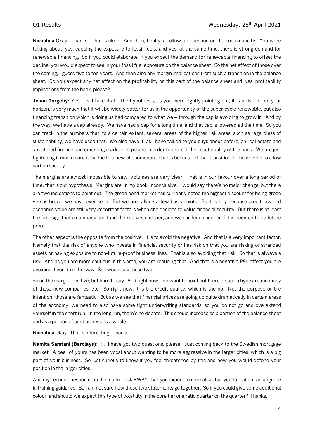**Nicholas:** Okay. Thanks. That is clear. And then, finally, a follow-up question on the sustainability. You were talking about, yes, capping the exposure to fossil fuels, and yes, at the same time, there is strong demand for renewable financing. So if you could elaborate, if you expect the demand for renewable financing to offset the decline, you would expect to see in your fossil fuel exposure on the balance sheet. So the net effect of those over the coming, I guess five to ten years. And then also any margin implications from such a transition in the balance sheet. Do you expect any net effect on the profitability on this part of the balance sheet and, yes, profitability implications from the bank, please?

Johan Torgeby: Yes, I will take that. The hypothesis, as you were rightly pointing out, it is a five to ten-year horizon, is very much that it will be widely better for us in the opportunity of the super-cycle renewable, but also financing transition which is doing us bad compared to what we – through the cap is avoiding to grow in. And by the way, we have a cap already. We have had a cap for a long time, and that cap is lowered all the time. So you can track in the numbers that, to a certain extent, several areas of the higher risk areas, such as regardless of sustainability, we have used that. We also have it, as I have talked to you guys about before, on real estate and structured finance and emerging markets exposure in order to protect the asset quality of the bank. We are just tightening it much more now due to a new phenomenon. That is because of that transition of the world into a low carbon society.

The margins are almost impossible to say. Volumes are very clear. That is in our favour over a long period of time; that is our hypothesis. Margins are, in my book, inconclusive. I would say there's no major change, but there are two indications to point out. The green bond market has currently noted the highest discount for being green versus brown we have ever seen. But we are talking a few basis points. So it is tiny because credit risk and economic value are still very important factors when one decides to value financial security. But there is at least the first sign that a company can fund themselves cheaper, and we can lend cheaper if it is deemed to be future proof.

The other aspect is the opposite from the positive. It is to avoid the negative. And that is a very important factor. Namely that the risk of anyone who invests in financial security or has risk on that you are risking of stranded assets or having exposure to non-future-proof business lines. That is also avoiding that risk. So that is always a risk. And as you are more cautious in this area, you are reducing that. And that is a negative P&L effect you are avoiding if you do it this way. So I would say those two.

So on the margin, positive, but hard to say. And right now, I do want to point out there is such a hype around many of these new companies, etc. So right now, it is the credit quality, which is the no. Not the purpose or the intention; those are fantastic. But as we see that financial prices are going up quite dramatically in certain areas of the economy, we need to also have some tight underwriting standards, so you do not go and overextend yourself in the short run. In the long run, there's no debate. This should increase as a portion of the balance sheet and as a portion of our business as a whole.

**Nicholas:** Okay. That is interesting. Thanks.

**Namita Samtani (Barclays):** Hi. I have got two questions, please. Just coming back to the Swedish mortgage market. A peer of yours has been vocal about wanting to be more aggressive in the larger cities, which is a big part of your business. So just curious to know if you feel threatened by this and how you would defend your position in the larger cities.

And my second question is on the market risk RWA's that you expect to normalise, but you talk about an upgrade in training guidance. So I am not sure how these two statements go together. So if you could give some additional colour, and should we expect this type of volatility in the core tier one ratio quarter on the quarter? Thanks.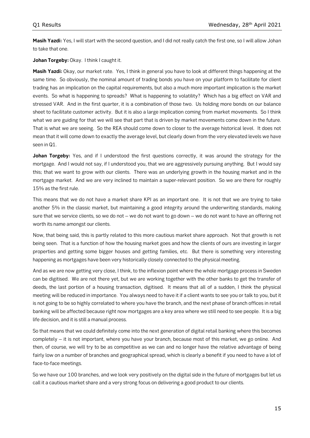**Masih Yazdi:** Yes, I will start with the second question, and I did not really catch the first one, so I will allow Johan to take that one.

Johan Torgeby: Okay. I think I caught it.

**Masih Yazdi:** Okay, our market rate. Yes, I think in general you have to look at different things happening at the same time. So obviously, the nominal amount of trading bonds you have on your platform to facilitate for client trading has an implication on the capital requirements, but also a much more important implication is the market events. So what is happening to spreads? What is happening to volatility? Which has a big effect on VAR and stressed VAR. And in the first quarter, it is a combination of those two. Us holding more bonds on our balance sheet to facilitate customer activity. But it is also a large implication coming from market movements. So I think what we are guiding for that we will see that part that is driven by market movements come down in the future. That is what we are seeing. So the REA should come down to closer to the average historical level. It does not mean that it will come down to exactly the average level, but clearly down from the very elevated levels we have seen in Q1.

Johan Torgeby: Yes, and if I understood the first questions correctly, it was around the strategy for the mortgage. And I would not say, if I understood you, that we are aggressively pursuing anything. But I would say this; that we want to grow with our clients. There was an underlying growth in the housing market and in the mortgage market. And we are very inclined to maintain a super-relevant position. So we are there for roughly 15% as the first rule.

This means that we do not have a market share KPI as an important one. It is not that we are trying to take another 5% in the classic market, but maintaining a good integrity around the underwriting standards, making sure that we service clients, so we do not – we do not want to go down – we do not want to have an offering not worth its name amongst our clients.

Now, that being said, this is partly related to this more cautious market share approach. Not that growth is not being seen. That is a function of how the housing market goes and how the clients of ours are investing in larger properties and getting some bigger houses and getting families, etc. But there is something very interesting happening as mortgages have been very historically closely connected to the physical meeting.

And as we are now getting very close, I think, to the inflexion point where the whole mortgage process in Sweden can be digitised. We are not there yet, but we are working together with the other banks to get the transfer of deeds, the last portion of a housing transaction, digitised. It means that all of a sudden, I think the physical meeting will be reduced in importance. You always need to have it if a client wants to see you or talk to you, but it is not going to be so highly correlated to where you have the branch, and the next phase of branch offices in retail banking will be affected because right now mortgages are a key area where we still need to see people. It is a big life decision, and it is still a manual process.

So that means that we could definitely come into the next generation of digital retail banking where this becomes completely – it is not important, where you have your branch, because most of this market, we go online. And then, of course, we will try to be as competitive as we can and no longer have the relative advantage of being fairly low on a number of branches and geographical spread, which is clearly a benefit if you need to have a lot of face-to-face meetings.

So we have our 100 branches, and we look very positively on the digital side in the future of mortgages but let us call it a cautious market share and a very strong focus on delivering a good product to our clients.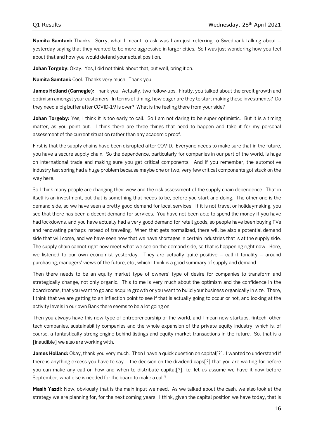**Namita Samtani:** Thanks. Sorry, what I meant to ask was I am just referring to Swedbank talking about – yesterday saying that they wanted to be more aggressive in larger cities. So I was just wondering how you feel about that and how you would defend your actual position.

Johan Torgeby: Okay. Yes, I did not think about that, but well, bring it on.

**Namita Samtani:** Cool. Thanks very much. Thank you.

**James Holland (Carnegie):** Thank you. Actually, two follow-ups. Firstly, you talked about the credit growth and optimism amongst your customers. In terms of timing, how eager are they to start making these investments? Do they need a big buffer after COVID-19 is over? What is the feeling there from your side?

**Johan Torgeby:** Yes, I think it is too early to call. So I am not daring to be super optimistic. But it is a timing matter, as you point out. I think there are three things that need to happen and take it for my personal assessment of the current situation rather than any academic proof.

First is that the supply chains have been disrupted after COVID. Everyone needs to make sure that in the future, you have a secure supply chain. So the dependence, particularly for companies in our part of the world, is huge on international trade and making sure you get critical components. And if you remember, the automotive industry last spring had a huge problem because maybe one or two, very few critical components got stuck on the way here.

So I think many people are changing their view and the risk assessment of the supply chain dependence. That in itself is an investment, but that is something that needs to be, before you start and doing. The other one is the demand side, so we have seen a pretty good demand for local services. If it is not travel or holidaymaking, you see that there has been a decent demand for services. You have not been able to spend the money if you have had lockdowns, and you have actually had a very good demand for retail goods, so people have been buying TVs and renovating perhaps instead of traveling. When that gets normalized, there will be also a potential demand side that will come, and we have seen now that we have shortages in certain industries that is at the supply side. The supply chain cannot right now meet what we see on the demand side, so that is happening right now. Here, we listened to our own economist yesterday. They are actually quite positive  $-$  call it tonality  $-$  around purchasing, managers' views of the future, etc., which I think is a good summary of supply and demand.

Then there needs to be an equity market type of owners' type of desire for companies to transform and strategically change, not only organic. This to me is very much about the optimism and the confidence in the boardrooms, that you want to go and acquire growth or you want to build your business organically in size. There, I think that we are getting to an inflection point to see if that is actually going to occur or not, and looking at the activity levels in our own Bank there seems to be a lot going on.

Then you always have this new type of entrepreneurship of the world, and I mean new startups, fintech, other tech companies, sustainability companies and the whole expansion of the private equity industry, which is, of course, a fantastically strong engine behind listings and equity market transactions in the future. So, that is a [inaudible] we also are working with.

**James Holland:** Okay, thank you very much. Then I have a quick question on capital[?]. I wanted to understand if there is anything excess you have to say – the decision on the dividend caps[?] that you are waiting for before you can make any call on how and when to distribute capital[?], i.e. let us assume we have it now before September, what else is needed for the board to make a call?

**Masih Yazdi:** Now, obviously that is the main input we need. As we talked about the cash, we also look at the strategy we are planning for, for the next coming years. I think, given the capital position we have today, that is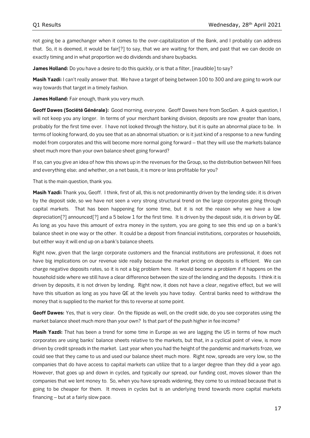not going be a gamechanger when it comes to the over-capitalization of the Bank, and I probably can address that. So, it is deemed, it would be fair[?] to say, that we are waiting for them, and past that we can decide on exactly timing and in what proportion we do dividends and share buybacks.

**James Holland:** Do you have a desire to do this quickly, or is that a filter, [inaudible] to say?

**Masih Yazdi:** I can't really answer that. We have a target of being between 100 to 300 and are going to work our way towards that target in a timely fashion.

**James Holland:** Fair enough, thank you very much.

**Geoff Dawes (Société Générale):** Good morning, everyone. Geoff Dawes here from SocGen. A quick question, I will not keep you any longer. In terms of your merchant banking division, deposits are now greater than loans, probably for the first time ever. I have not looked through the history, but it is quite an abnormal place to be. In terms of looking forward, do you see that as an abnormal situation; or is it just kind of a response to a new funding model from corporates and this will become more normal going forward – that they will use the markets balance sheet much more than your own balance sheet going forward?

If so, can you give an idea of how this shows up in the revenues for the Group, so the distribution between NII fees and everything else; and whether, on a net basis, it is more or less profitable for you?

That is the main question, thank you.

**Masih Yazdi:** Thank you, Geoff. I think, first of all, this is not predominantly driven by the lending side; it is driven by the deposit side, so we have not seen a very strong structural trend on the large corporates going through capital markets. That has been happening for some time, but it is not the reason why we have a low depreciation[?] announced[?] and a 5 below 1 for the first time. It is driven by the deposit side, it is driven by QE. As long as you have this amount of extra money in the system, you are going to see this end up on a bank's balance sheet in one way or the other. It could be a deposit from financial institutions, corporates or households, but either way it will end up on a bank's balance sheets.

Right now, given that the large corporate customers and the financial institutions are professional, it does not have big implications on our revenue side really because the market pricing on deposits is efficient. We can charge negative deposits rates, so it is not a big problem here. It would become a problem if it happens on the household side where we still have a clear difference between the size of the lending and the deposits. I think it is driven by deposits, it is not driven by lending. Right now, it does not have a clear, negative effect, but we will have this situation as long as you have QE at the levels you have today. Central banks need to withdraw the money that is supplied to the market for this to reverse at some point.

**Geoff Dawes:** Yes, that is very clear. On the flipside as well, on the credit side, do you see corporates using the market balance sheet much more than your own? Is that part of the push higher in fee income?

**Masih Yazdi:** That has been a trend for some time in Europe as we are lagging the US in terms of how much corporates are using banks' balance sheets relative to the markets, but that, in a cyclical point of view, is more driven by credit spreads in the market. Last year when you had the height of the pandemic and markets froze, we could see that they came to us and used our balance sheet much more. Right now, spreads are very low, so the companies that do have access to capital markets can utilize that to a larger degree than they did a year ago. However, that goes up and down in cycles, and typically our spread, our funding cost, moves slower than the companies that we lent money to. So, when you have spreads widening, they come to us instead because that is going to be cheaper for them. It moves in cycles but is an underlying trend towards more capital markets financing – but at a fairly slow pace.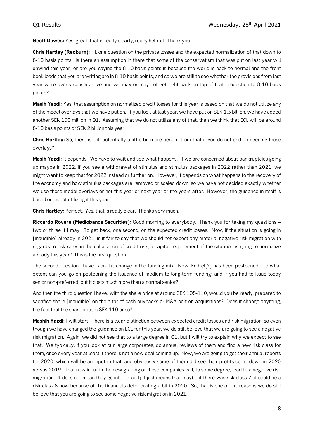**Geoff Dawes:** Yes, great, that is really clearly, really helpful. Thank you.

**Chris Hartley (Redburn):** Hi, one question on the private losses and the expected normalization of that down to 8-10 basis points. Is there an assumption in there that some of the conservatism that was put on last year will unwind this year; or are you saying the 8-10 basis points is because the world is back to normal and the front book loads that you are writing are in 8-10 basis points, and so we are still to see whether the provisions from last year were overly conservative and we may or may not get right back on top of that production to 8-10 basis points?

**Masih Yazdi:** Yes, that assumption on normalized credit losses for this year is based on that we do not utilize any of the model overlays that we have put on. If you look at last year, we have put on SEK 1.3 billion, we have added another SEK 100 million in Q1. Assuming that we do not utilize any of that, then we think that ECL will be around 8-10 basis points or SEK 2 billion this year.

**Chris Hartley:** So, there is still potentially a little bit more benefit from that if you do not end up needing those overlays?

**Masih Yazdi:** It depends. We have to wait and see what happens. If we are concerned about bankruptcies going up maybe in 2022, if you see a withdrawal of stimulus and stimulus packages in 2022 rather than 2021, we might want to keep that for 2022 instead or further on. However, it depends on what happens to the recovery of the economy and how stimulus packages are removed or scaled down, so we have not decided exactly whether we use those model overlays or not this year or next year or the years after. However, the guidance in itself is based on us not utilizing it this year.

**Chris Hartley:** Perfect. Yes, that is really clear. Thanks very much.

**Riccardo Rovere (Mediobanca Securities):** Good morning to everybody. Thank you for taking my questions – two or three if I may. To get back, one second, on the expected credit losses. Now, if the situation is going in [inaudible] already in 2021, is it fair to say that we should not expect any material negative risk migration with regards to risk rates in the calculation of credit risk, a capital requirement, if the situation is going to normalize already this year? This is the first question.

The second question I have is on the change in the funding mix. Now, Endrel[?] has been postponed. To what extent can you go on postponing the issuance of medium to long-term funding; and if you had to issue today senior non-preferred, but it costs much more than a normal senior?

And then the third question I have: with the share price at around SEK 105-110, would you be ready, prepared to sacrifice share [inaudible] on the altar of cash buybacks or M&A bolt-on acquisitions? Does it change anything, the fact that the share price is SEK 110 or so?

**Mashih Yazdi:** I will start. There is a clear distinction between expected credit losses and risk migration, so even though we have changed the guidance on ECL for this year, we do still believe that we are going to see a negative risk migration. Again, we did not see that to a large degree in Q1, but I will try to explain why we expect to see that. We typically, if you look at our large corporates, do annual reviews of them and find a new risk class for them, once every year at least if there is not a new deal coming up. Now, we are going to get their annual reports for 2020, which will be an input in that, and obviously some of them did see their profits come down in 2020 versus 2019. That new input in the new grading of those companies will, to some degree, lead to a negative risk migration. It does not mean they go into default; it just means that maybe if there was risk class 7, it could be a risk class 8 now because of the financials deteriorating a bit in 2020. So, that is one of the reasons we do still believe that you are going to see some negative risk migration in 2021.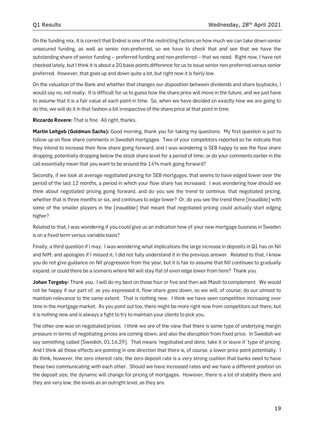On the funding mix, it is correct that Endrel is one of the restricting factors on how much we can take down senior unsecured funding, as well as senior non-preferred, so we have to check that and see that we have the outstanding share of senior funding – preferred funding and non-preferred – that we need. Right now, I have not checked lately, but I think it is about a 20 basis points difference for us to issue senior non-preferred versus senior preferred. However, that goes up and down quite a lot, but right now it is fairly low.

On the valuation of the Bank and whether that changes our disposition between dividends and share buybacks, I would say no, not really. It is difficult for us to guess how the share price will move in the future, and we just have to assume that it is a fair value at each point in time. So, when we have decided on exactly how we are going to do this, we will do it in that fashion a bit irrespective of the share price at that point in time.

**Riccardo Rovere:** That is fine. All right, thanks.

**Martin Leitgeb (Goldman Sachs):** Good morning, thank you for taking my questions. My first question is just to follow up on flow share comments in Swedish mortgages. Two of your competitors reported so far indicate that they intend to increase their flow share going forward, and I was wondering is SEB happy to see the flow share dropping, potentially dropping below the stock share level for a period of time; or do your comments earlier in the call essentially mean that you want to be around the 14% mark going forward?

Secondly, if we look at average negotiated pricing for SEB mortgages, that seems to have edged lower over the period of the last 12 months, a period in which your flow share has increased. I was wondering how should we think about negotiated pricing going forward, and do you see the trend to continue, that negotiated pricing, whether that is three months or six, and continues to edge lower? Or, do you see the trend there [inaudible] with some of the smaller players in the [inaudible] that meant that negotiated pricing could actually start edging higher?

Related to that, I was wondering if you could give us an indication how of your new mortgage business in Sweden is on a fixed term versus variable basis?

Finally, a third question if I may. I was wondering what implications the large increase in deposits in Q1 has on NII and NIM, and apologies if I missed it; I did not fully understand it in the previous answer. Related to that, I know you do not give guidance on NII progression from the year, but it is fair to assume that NII continues to gradually expand, or could there be a scenario where NII will stay flat of even edge lower from here? Thank you.

Johan Torgeby: Thank you. I will do my best on those four or five and then ask Masih to complement. We would not be happy if our part of, as you expressed it, flow share goes down, so we will, of course, do our utmost to maintain relevance to the same extent. That is nothing new. I think we have seen competition increasing over time in the mortgage market. As you point out too, there might be more right now from competitors out there, but it is nothing new and is always a fight to try to maintain your clients to pick you.

The other one was on negotiated prices. I think we are of the view that there is some type of underlying margin pressure in terms of negotiating prices are coming down, and also the disruption from fixed price. In Swedish we say something called [Swedish, 01.16.29]. That means 'negotiated and done, take it or leave it' type of pricing. And I think all those effects are pointing in one direction that there is, of course, a lower price point potentially. I do think, however, the zero interest rate, the zero deposit rate is a very strong cushion that banks need to have these two communicating with each other. Should we have increased rates and we have a different position on the deposit size, the dynamic will change for pricing of mortgages. However, there is a lot of stability there and they are very low, the levels as an outright level, as they are.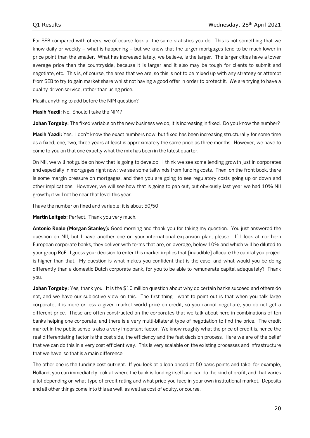For SEB compared with others, we of course look at the same statistics you do. This is not something that we know daily or weekly – what is happening – but we know that the larger mortgages tend to be much lower in price point than the smaller. What has increased lately, we believe, is the larger. The larger cities have a lower average price than the countryside, because it is larger and it also may be tough for clients to submit and negotiate, etc. This is, of course, the area that we are, so this is not to be mixed up with any strategy or attempt from SEB to try to gain market share whilst not having a good offer in order to protect it. We are trying to have a quality-driven service, rather than using price.

Masih, anything to add before the NIM question?

**Masih Yazdi:** No. Should I take the NIM?

**Johan Torgeby:** The fixed variable on the new business we do, it is increasing in fixed. Do you know the number?

**Masih Yazdi:** Yes. I don't know the exact numbers now, but fixed has been increasing structurally for some time as a fixed; one, two, three years at least is approximately the same price as three months. However, we have to come to you on that one exactly what the mix has been in the latest quarter.

On NII, we will not guide on how that is going to develop. I think we see some lending growth just in corporates and especially in mortgages right now; we see some tailwinds from funding costs. Then, on the front book, there is some margin pressure on mortgages, and then you are going to see regulatory costs going up or down and other implications. However, we will see how that is going to pan out, but obviously last year we had 10% NII growth; it will not be near that level this year.

I have the number on fixed and variable; it is about 50/50.

**Martin Leitgeb:** Perfect. Thank you very much.

**Antonio Reale (Morgan Stanley):** Good morning and thank you for taking my question. You just answered the question on NII, but I have another one on your international expansion plan, please. If I look at northern European corporate banks, they deliver with terms that are, on average, below 10% and which will be diluted to your group RoE. I guess your decision to enter this market implies that [inaudible] allocate the capital you project is higher than that. My question is what makes you confident that is the case, and what would you be doing differently than a domestic Dutch corporate bank, for you to be able to remunerate capital adequately? Thank you.

**Johan Torgeby:** Yes, thank you. It is the \$10 million question about why do certain banks succeed and others do not, and we have our subjective view on this. The first thing I want to point out is that when you talk large corporate, it is more or less a given market world price on credit, so you cannot negotiate, you do not get a different price. These are often constructed on the corporates that we talk about here in combinations of ten banks helping one corporate, and there is a very multi-bilateral type of negotiation to find the price. The credit market in the public sense is also a very important factor. We know roughly what the price of credit is, hence the real differentiating factor is the cost side, the efficiency and the fast decision process. Here we are of the belief that we can do this in a very cost efficient way. This is very scalable on the existing processes and infrastructure that we have, so that is a main difference.

The other one is the funding cost outright. If you look at a loan priced at 50 basis points and take, for example, Holland, you can immediately look at where the bank is funding itself and can do the kind of profit, and that varies a lot depending on what type of credit rating and what price you face in your own institutional market. Deposits and all other things come into this as well, as well as cost of equity, or course.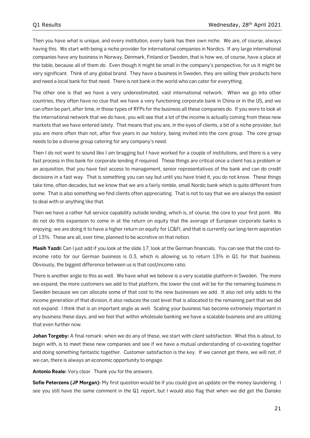Then you have what is unique, and every institution, every bank has their own niche. We are, of course, always having this. We start with being a niche provider for international companies in Nordics. If any large international companies have any business in Norway, Denmark, Finland or Sweden, that is how we, of course, have a place at the table, because all of them do. Even though it might be small in the company's perspective, for us it might be very significant. Think of any global brand. They have a business in Sweden, they are selling their products here and need a local bank for that need. There is not bank in the world who can cater for everything.

The other one is that we have a very underestimated, vast international network. When we go into other countries, they often have no clue that we have a very functioning corporate bank in China or in the US, and we can often be part, after time, in those types of RFPs for the business all these companies do. If you were to look at the international network that we do have, you will see that a lot of the income is actually coming from these new markets that we have entered lately. That means that you are, in the eyes of clients, a bit of a niche provider, but you are more often than not, after five years in our history, being invited into the core group. The core group needs to be a diverse group catering for any company's need.

Then I do not want to sound like I am bragging but I have worked for a couple of institutions, and there is a very fast process in this bank for corporate lending if required. These things are critical once a client has a problem or an acquisition, that you have fast access to management, senior representatives of the bank and can do credit decisions in a fast way. That is something you can say but until you have tried it, you do not know. These things take time, often decades, but we know that we are a fairly nimble, small Nordic bank which is quite different from some. That is also something we find clients often appreciating. That is not to say that we are always the easiest to deal with or anything like that.

Then we have a rather full service capability outside lending, which is, of course, the core to your first point. We do not do this expansion to come in at the return on equity that the average of European corporate banks is enjoying; we are doing it to have a higher return on equity for LC&FI, and that is currently our long-term aspiration of 13%. These are all, over time, planned to be accretive on that notion.

**Masih Yazdi:** Can I just add if you look at the slide 17, look at the German financials. You can see that the cost-toincome ratio for our German business is 0.3, which is allowing us to return 13% in Q1 for that business. Obviously, the biggest difference between us is that cost/income ratio.

There is another angle to this as well. We have what we believe is a very scalable platform in Sweden. The more we expand, the more customers we add to that platform, the lower the cost will be for the remaining business in Sweden because we can allocate some of that cost to the new businesses we add. It also not only adds to the income generation of that division, it also reduces the cost level that is allocated to the remaining part that we did not expand. I think that is an important angle as well. Scaling your business has become extremely important in any business these days, and we feel that within wholesale banking we have a scalable business and are utilizing that even further now.

**Johan Torgeby:** A final remark: when we do any of these, we start with client satisfaction. What this is about, to begin with, is to meet these new companies and see if we have a mutual understanding of co-existing together and doing something fantastic together. Customer satisfaction is the key. If we cannot get there, we will not; if we can, there is always an economic opportunity to engage.

**Antonio Reale:** Very clear. Thank you for the answers.

**Sofie Peterzens (JP Morgan):** My first question would be if you could give an update on the money laundering. I see you still have the same comment in the Q1 report, but I would also flag that when we did get the Danske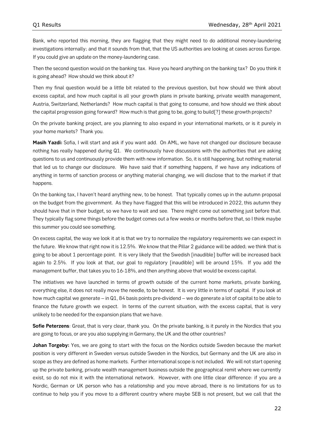Bank, who reported this morning, they are flagging that they might need to do additional money-laundering investigations internally; and that it sounds from that, that the US authorities are looking at cases across Europe. If you could give an update on the money-laundering case.

Then the second question would on the banking tax. Have you heard anything on the banking tax? Do you think it is going ahead? How should we think about it?

Then my final question would be a little bit related to the previous question, but how should we think about excess capital, and how much capital is all your growth plans in private banking, private wealth management, Austria, Switzerland, Netherlands? How much capital is that going to consume, and how should we think about the capital progression going forward? How much is that going to be, going to build[?] these growth projects?

On the private banking project, are you planning to also expand in your international markets, or is it purely in your home markets? Thank you.

**Masih Yazdi:** Sofia, I will start and ask if you want add. On AML, we have not changed our disclosure because nothing has really happened during Q1. We continuously have discussions with the authorities that are asking questions to us and continuously provide them with new information. So, it is still happening, but nothing material that led us to change our disclosure. We have said that if something happens, if we have any indications of anything in terms of sanction process or anything material changing, we will disclose that to the market if that happens.

On the banking tax, I haven't heard anything new, to be honest. That typically comes up in the autumn proposal on the budget from the government. As they have flagged that this will be introduced in 2022, this autumn they should have that in their budget, so we have to wait and see. There might come out something just before that. They typically flag some things before the budget comes out a few weeks or months before that, so I think maybe this summer you could see something.

On excess capital, the way we look it at is that we try to normalize the regulatory requirements we can expect in the future. We know that right now it is 12.5%. We know that the Pillar 2 guidance will be added; we think that is going to be about 1 percentage point. It is very likely that the Swedish [inaudible] buffer will be increased back again to 2.5%. If you look at that, our goal to regulatory [inaudible] will be around 15%. If you add the management buffer, that takes you to 16-18%, and then anything above that would be excess capital.

The initiatives we have launched in terms of growth outside of the current home markets, private banking, everything else, it does not really move the needle, to be honest. It is very little in terms of capital. If you look at how much capital we generate – in Q1, 84 basis points pre-dividend – we do generate a lot of capital to be able to finance the future growth we expect. In terms of the current situation, with the excess capital, that is very unlikely to be needed for the expansion plans that we have.

**Sofie Peterzens**: Great, that is very clear, thank you. On the private banking, is it purely in the Nordics that you are going to focus, or are you also supplying in Germany, the UK and the other countries?

**Johan Torgeby:** Yes, we are going to start with the focus on the Nordics outside Sweden because the market position is very different in Sweden versus outside Sweden in the Nordics, but Germany and the UK are also in scope as they are defined as home markets. Further international scope is not included. We will not start opening up the private banking, private wealth management business outside the geographical remit where we currently exist, so do not mix it with the international network. However, with one little clear difference: if you are a Nordic, German or UK person who has a relationship and you move abroad, there is no limitations for us to continue to help you if you move to a different country where maybe SEB is not present, but we call that the